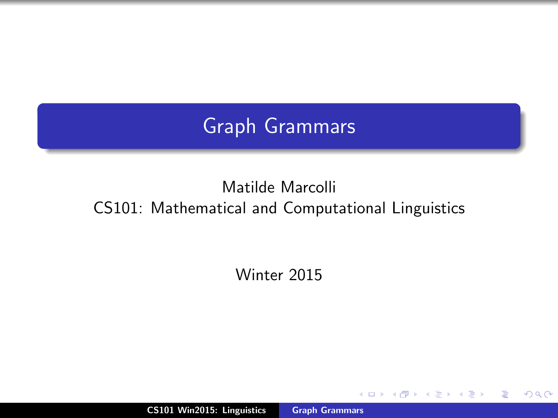# Graph Grammars

# Matilde Marcolli CS101: Mathematical and Computational Linguistics

Winter 2015

CS101 Win2015: Linguistics [Graph Grammars](#page-18-0)

 $4.171.6$ 

A

 $2Q$ 

<span id="page-0-0"></span>≣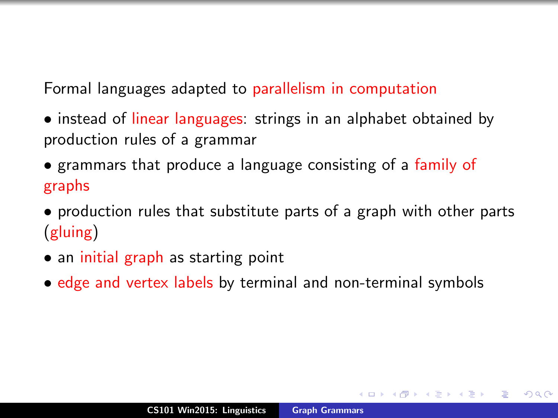Formal languages adapted to parallelism in computation

- instead of linear languages: strings in an alphabet obtained by production rules of a grammar
- grammars that produce a language consisting of a family of graphs
- production rules that substitute parts of a graph with other parts (gluing)
- an initial graph as starting point
- edge and vertex labels by terminal and non-terminal symbols

 $2Q$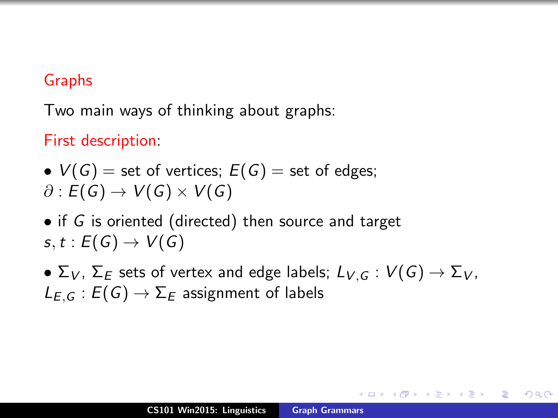#### Graphs

Two main ways of thinking about graphs:

First description:

\n- $$
V(G)
$$
 = set of vertices;  $E(G)$  = set of edges;  $\partial : E(G) \to V(G) \times V(G)$
\n

• if G is oriented (directed) then source and target  $s, t : E(G) \rightarrow V(G)$ 

•  $\Sigma_V$ ,  $\Sigma_E$  sets of vertex and edge labels;  $L_{V,G}: V(G) \to \Sigma_V$ ,  $L_{F,G}:E(G)\to\Sigma_F$  assignment of labels

4 m + 4 m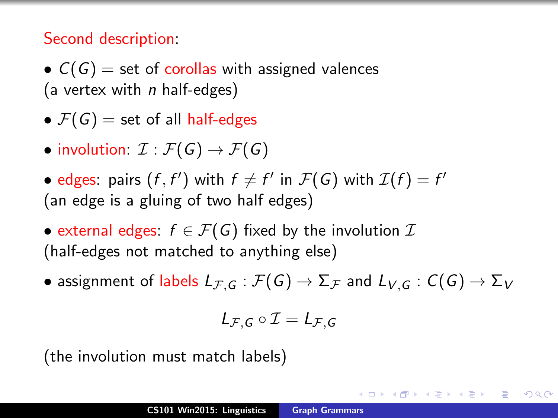#### Second description:

•  $C(G)$  = set of corollas with assigned valences (a vertex with  $n$  half-edges)

- $\mathcal{F}(G)$  = set of all half-edges
- involution:  $\mathcal{I}: \mathcal{F}(G) \to \mathcal{F}(G)$
- edges: pairs  $(f, f')$  with  $f \neq f'$  in  $\mathcal{F}(G)$  with  $\mathcal{I}(f) = f'$ (an edge is a gluing of two half edges)
- external edges:  $f \in \mathcal{F}(G)$  fixed by the involution  $\mathcal{I}$ (half-edges not matched to anything else)
- assignment of labels  $L_{\mathcal{F},G} : \mathcal{F}(G) \to \Sigma_{\mathcal{F}}$  and  $L_{V,G} : C(G) \to \Sigma_{V}$

$$
L_{\mathcal{F},G}\circ\mathcal{I}=L_{\mathcal{F},G}
$$

メタメメ ミメメ ミメー

つくい

(the involution must match labels)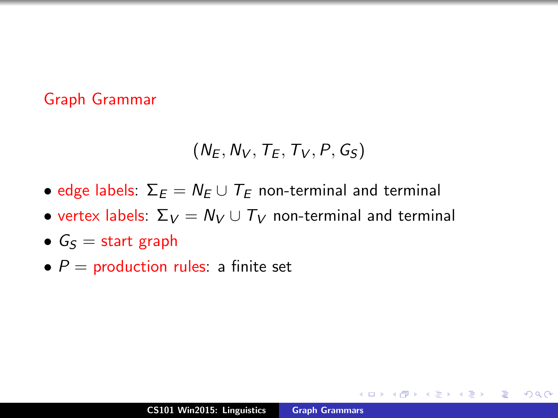#### Graph Grammar

$$
(N_E, N_V, T_E, T_V, P, G_S)
$$

- edge labels:  $\Sigma_F = N_F \cup T_F$  non-terminal and terminal
- vertex labels:  $\Sigma_V = N_V \cup T_V$  non-terminal and terminal
- $G_S =$  start graph
- $P =$  production rules: a finite set

 $2Q$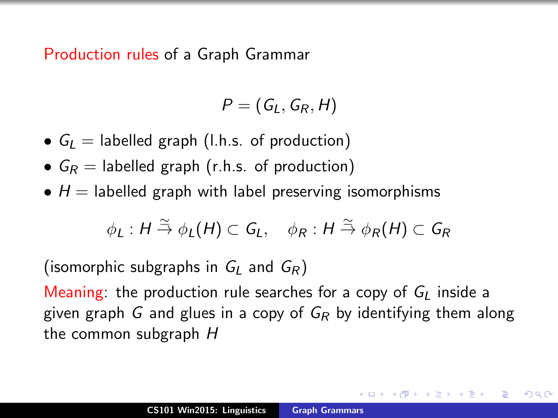Production rules of a Graph Grammar

$$
P=(G_L,G_R,H)
$$

- $G_L$  = labelled graph (l.h.s. of production)
- $G_R =$  labelled graph (r.h.s. of production)
- $H =$  labelled graph with label preserving isomorphisms

$$
\phi_L: H \stackrel{\simeq}{\to} \phi_L(H) \subset G_L, \quad \phi_R: H \stackrel{\simeq}{\to} \phi_R(H) \subset G_R
$$

(isomorphic subgraphs in  $G_l$  and  $G_R$ )

Meaning: the production rule searches for a copy of  $G_l$  inside a given graph G and glues in a copy of  $G_R$  by identifying them along the common subgraph H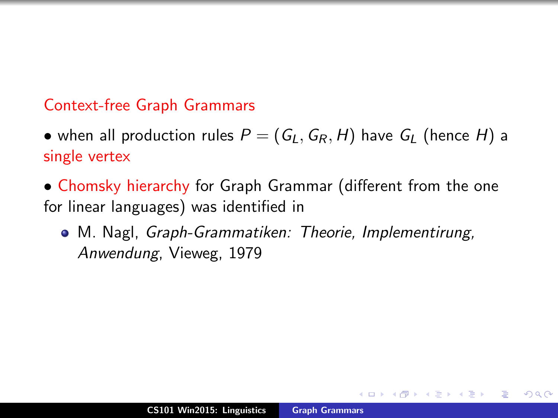#### Context-free Graph Grammars

- when all production rules  $P = (G_L, G_R, H)$  have  $G_L$  (hence H) a single vertex
- Chomsky hierarchy for Graph Grammar (different from the one for linear languages) was identified in
	- M. Nagl, Graph-Grammatiken: Theorie, Implementirung, Anwendung, Vieweg, 1979

 $\rightarrow$   $\overline{m}$   $\rightarrow$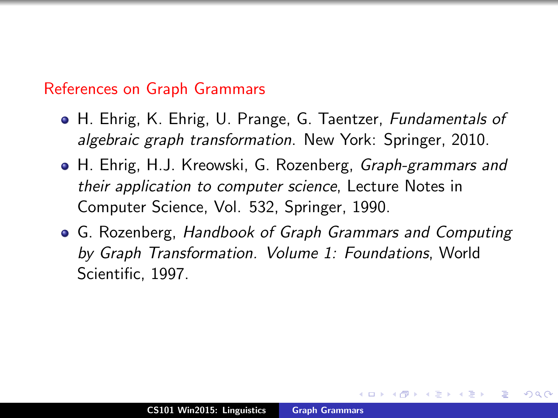#### References on Graph Grammars

- H. Ehrig, K. Ehrig, U. Prange, G. Taentzer, Fundamentals of algebraic graph transformation. New York: Springer, 2010.
- H. Ehrig, H.J. Kreowski, G. Rozenberg, *Graph-grammars and* their application to computer science, Lecture Notes in Computer Science, Vol. 532, Springer, 1990.
- <span id="page-7-0"></span>G. Rozenberg, Handbook of Graph Grammars and Computing by Graph Transformation. Volume 1: Foundations, World Scientific, 1997.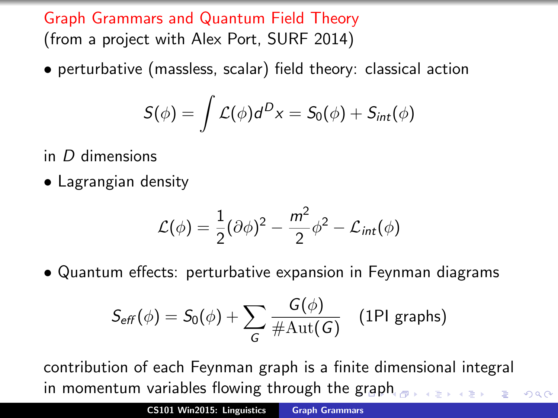Graph Grammars and Quantum Field Theory (from a project with Alex Port, SURF 2014)

• perturbative (massless, scalar) field theory: classical action

$$
S(\phi) = \int \mathcal{L}(\phi) d^{D}x = S_0(\phi) + S_{int}(\phi)
$$

in D dimensions

• Lagrangian density

$$
\mathcal{L}(\phi) = \frac{1}{2}(\partial \phi)^2 - \frac{m^2}{2}\phi^2 - \mathcal{L}_{int}(\phi)
$$

• Quantum effects: perturbative expansion in Feynman diagrams

$$
S_{\text{eff}}(\phi) = S_0(\phi) + \sum_G \frac{G(\phi)}{\#\text{Aut}(G)} \quad \text{(1PI graphs)}
$$

contribution of each Feynman graph is a finite dimensional integral in momentum variables flowing through the [gr](#page-7-0)[ap](#page-9-0)[h](#page-7-0)

 $\Omega$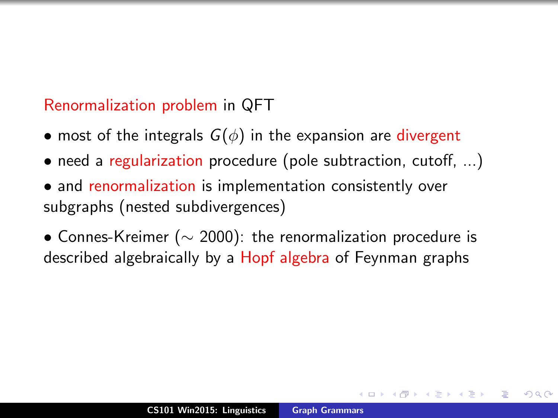### Renormalization problem in QFT

- most of the integrals  $G(\phi)$  in the expansion are divergent
- need a regularization procedure (pole subtraction, cutoff, ...)
- and renormalization is implementation consistently over subgraphs (nested subdivergences)

<span id="page-9-0"></span>• Connes-Kreimer ( $\sim$  2000): the renormalization procedure is described algebraically by a Hopf algebra of Feynman graphs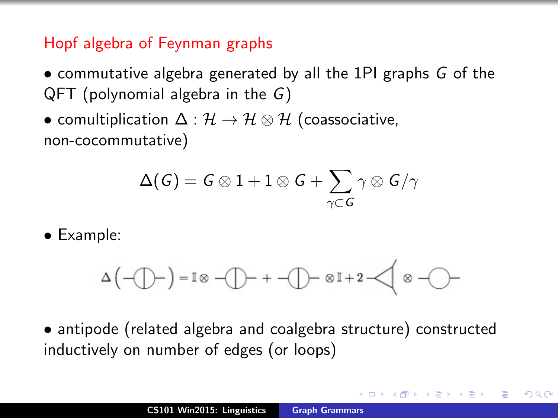## Hopf algebra of Feynman graphs

- commutative algebra generated by all the 1PI graphs G of the QFT (polynomial algebra in the G)
- comultiplication  $\Delta : \mathcal{H} \to \mathcal{H} \otimes \mathcal{H}$  (coassociative, non-cocommutative)

$$
\Delta(\mathit{G}) = \mathit{G} \otimes 1 + 1 \otimes \mathit{G} + \sum_{\gamma \subset \mathit{G}} \gamma \otimes \mathit{G}/\gamma
$$

• Example:

$$
\Delta\left(-\bigoplus -\right)=\mathbb{I}\otimes\lnot\bigoplus -\ +\ \lnot\bigoplus -\otimes\mathbb{I}+2\ \lnot\bigotimes \otimes\lnot\bigodot -
$$

• antipode (related algebra and coalgebra structure) constructed inductively on number of edges (or loops)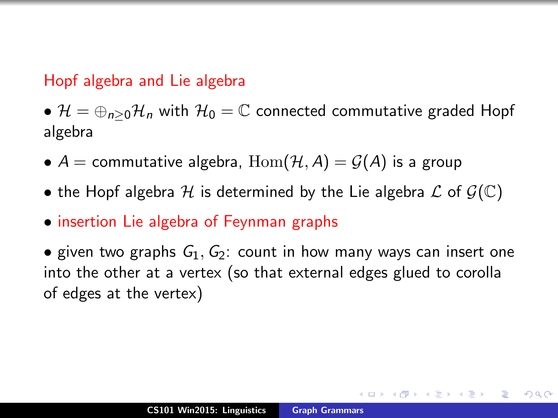#### Hopf algebra and Lie algebra

•  $\mathcal{H} = \oplus_{n>0} \mathcal{H}_n$  with  $\mathcal{H}_0 = \mathbb{C}$  connected commutative graded Hopf algebra

- $A =$  commutative algebra,  $\text{Hom}(\mathcal{H}, A) = \mathcal{G}(A)$  is a group
- the Hopf algebra H is determined by the Lie algebra  $\mathcal L$  of  $\mathcal G(\mathbb C)$
- insertion Lie algebra of Feynman graphs

• given two graphs  $G_1, G_2$ : count in how many ways can insert one into the other at a vertex (so that external edges glued to corolla of edges at the vertex)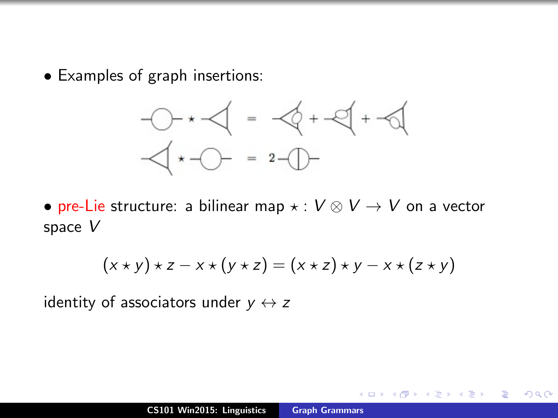• Examples of graph insertions:



• pre-Lie structure: a bilinear map  $\star : V \otimes V \to V$  on a vector space V

$$
(x \star y) \star z - x \star (y \star z) = (x \star z) \star y - x \star (z \star y)
$$

identity of associators under  $y \leftrightarrow z$ 

 $\Omega$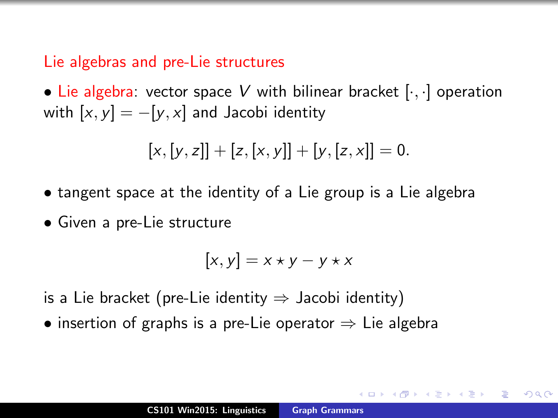#### Lie algebras and pre-Lie structures

• Lie algebra: vector space V with bilinear bracket  $[\cdot, \cdot]$  operation with  $[x, y] = -[y, x]$  and Jacobi identity

$$
[x,[y,z]] + [z,[x,y]] + [y,[z,x]] = 0.
$$

- tangent space at the identity of a Lie group is a Lie algebra
- Given a pre-Lie structure

$$
[x, y] = x \star y - y \star x
$$

is a Lie bracket (pre-Lie identity  $\Rightarrow$  Jacobi identity)

• insertion of graphs is a pre-Lie operator  $\Rightarrow$  Lie algebra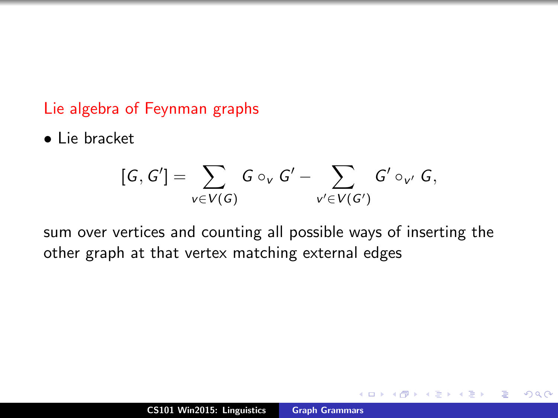#### Lie algebra of Feynman graphs

• Lie bracket

$$
[G,G']=\sum_{v\in V(G)}G\circ_v G'-\sum_{v'\in V(G')}G'\circ_{v'} G,
$$

sum over vertices and counting all possible ways of inserting the other graph at that vertex matching external edges

 $2Q$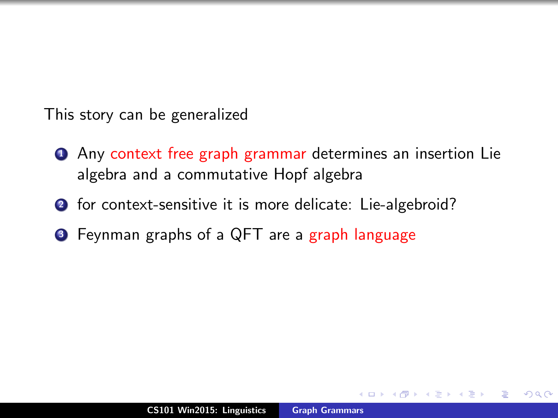This story can be generalized

- **1** Any context free graph grammar determines an insertion Lie algebra and a commutative Hopf algebra
- 2 for context-sensitive it is more delicate: Lie-algebroid?
- <sup>3</sup> Feynman graphs of a QFT are a graph language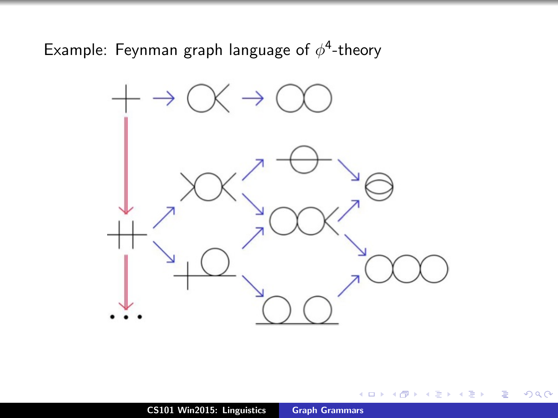Example: Feynman graph language of  $\phi^4$ -theory



 $\leftarrow$   $\Box$ 

∢ 伊 ▶ → 王

重

∍  $\sim$   $299$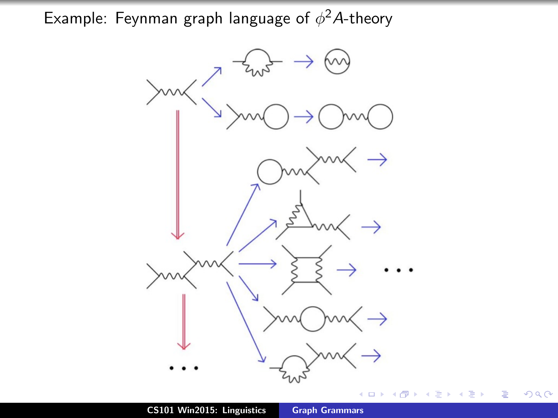Example: Feynman graph language of  $\phi^2$ A-theory



 $299$ 

∍ × ≣